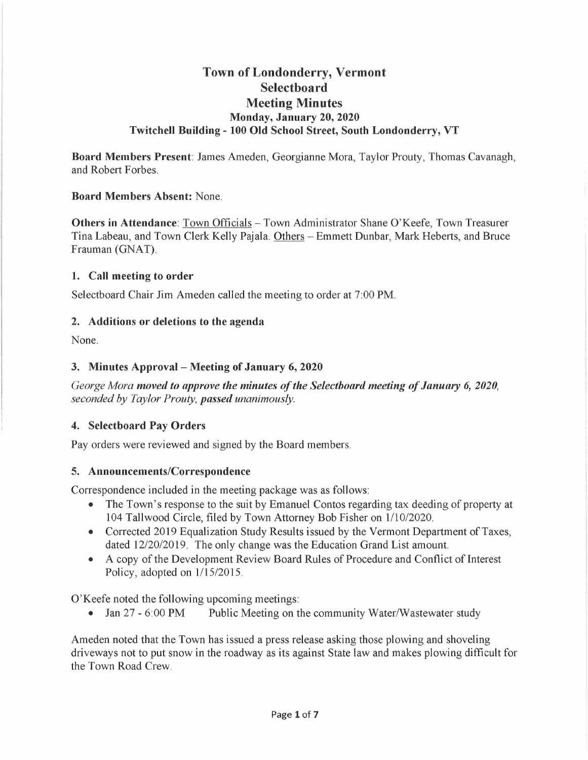# **Town of Londonderry, Vermont Selectboard Meeting Minutes Monday, January 20, 2020 Twitchell Building - 100 Old School Street, South Londonderry, VT**

**Board Members Present:** James Ameden, Georgianne Mora, Taylor Prouty, Thomas Cavanagh, and Robert Forbes.

#### **Board Members Absent:** None.

**Others in Attendance:** Town Officials - Town Administrator Shane O'Keefe, Town Treasurer Tina Labeau, and Town Clerk Kelly Pajala. Others - Emmett Dunbar, Mark Heberts, and Bruce Frauman (GNAT).

#### **1. Call meeting to order**

Selectboard Chair Jim Ameden called the meeting to order at 7:00 PM.

#### **2. Additions or deletions to the agenda**

None.

#### **3. Minutes Approval - Meeting of January 6, 2020**

*George Mora moved to approve the minutes of the Selectboard meeting of January 6, 2020, seconded by Taylor Prouty, passed unanimously.* 

## **4. Selectboard Pay Orders**

Pay orders were reviewed and signed by the Board members.

#### **5. Announcements/Correspondence**

Correspondence included in the meeting package was as follows:

- The Town's response to the suit by Emanuel Contos regarding tax deeding of property at 104 Tallwood Circle, filed by Town Attorney Bob Fisher on 1/10/2020.
- Corrected 2019 Equalization Study Results issued by the Vermont Department of Taxes, dated 12/20/2019. The only change was the Education Grand List amount.
- A copy of the Development Review Board Rules of Procedure and Conflict of Interest Policy, adopted on 1/15/2015.

O'Keefe noted the following upcoming meetings:

• Jan 27 - 6:00 PM Public Meeting on the community Water/Wastewater study

Ameden noted that the Town has issued a press release asking those plowing and shoveling driveways not to put snow in the roadway as its against State law and makes plowing difficult for the Town Road Crew.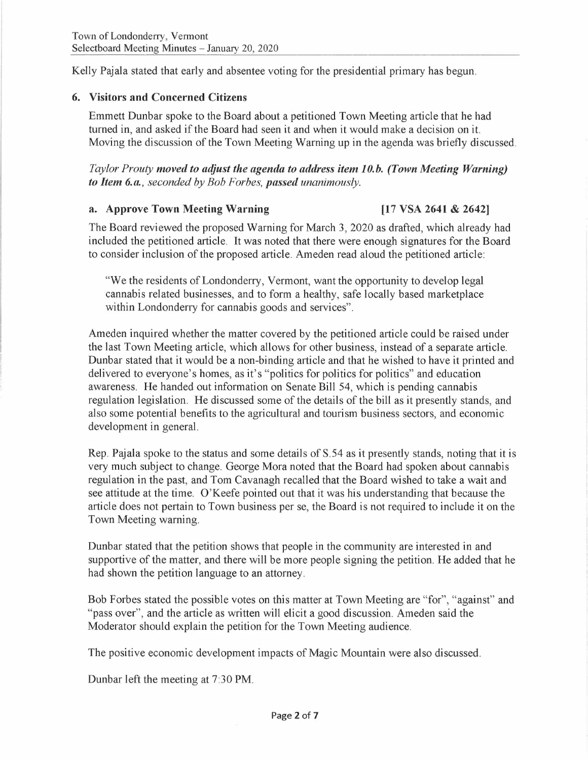Kelly Pajala stated that early and absentee voting for the presidential primary has begun.

#### **6. Visitors and Concerned Citizens**

Emmett Dunbar spoke to the Board about a petitioned Town Meeting article that he had turned in, and asked if the Board had seen it and when it would make a decision on it. Moving the discussion of the Town Meeting Warning up in the agenda was briefly discussed.

#### *Taylor Prouty moved to adjust the agenda to address item 10.b. (Town Meeting Warning) to Item 6.a., seconded by Bob Forbes, passed unanimously.*

#### **a. Approve Town Meeting Warning [17 VSA 2641** & **2642]**

The Board reviewed the proposed Warning for March 3, 2020 as drafted, which already had included the petitioned article. It was noted that there were enough signatures for the Board to consider inclusion of the proposed article. Am eden read aloud the petitioned article:

"We the residents of Londonderry, Vermont, want the opportunity to develop legal cannabis related businesses, and to form a healthy, safe locally based marketplace within Londonderry for cannabis goods and services".

Ameden inquired whether the matter covered by the petitioned article could be raised under the last Town Meeting article, which allows for other business, instead of a separate article. Dunbar stated that it would be a non-binding article and that he wished to have it printed and delivered to everyone's homes, as it's "politics for politics for politics" and education awareness. He handed out information on Senate Bill 54, which is pending cannabis regulation legislation. He discussed some of the details of the bill as it presently stands, and also some potential benefits to the agricultural and tourism business sectors, and economic development in general.

Rep. Pajala spoke to the status and some details of S.54 as it presently stands, noting that it is very much subject to change. George Mora noted that the Board had spoken about cannabis regulation in the past, and Tom Cavanagh recalled that the Board wished to take a wait and see attitude at the time. O'Keefe pointed out that it was his understanding that because the article does not pertain to Town business per se, the Board is not required to include it on the Town Meeting warning.

Dunbar stated that the petition shows that people in the community are interested in and supportive of the matter, and there will be more people signing the petition. He added that he had shown the petition language to an attorney.

Bob Forbes stated the possible votes on this matter at Town Meeting are "for", "against" and "pass over", and the article as written will elicit a good discussion. Ameden said the Moderator should explain the petition for the Town Meeting audience.

The positive economic development impacts of Magic Mountain were also discussed.

Dunbar left the meeting at 7:30 **PM.**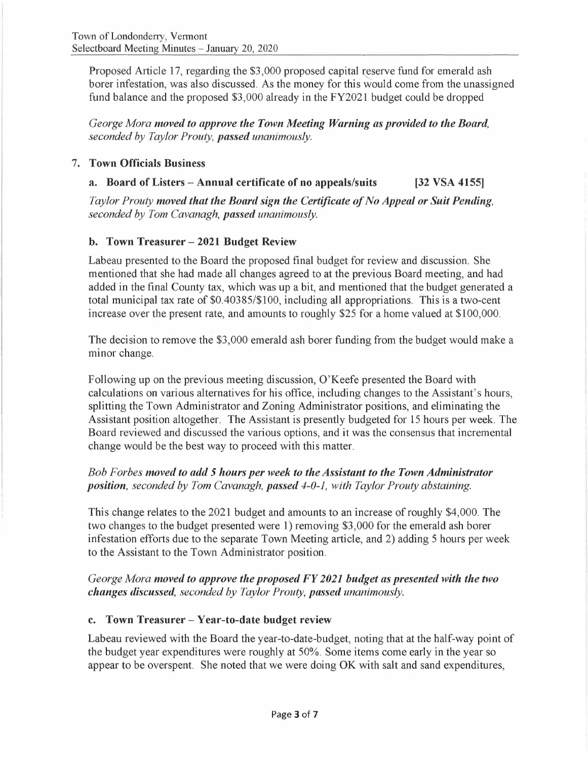Proposed Article 17, regarding the \$3,000 proposed capital reserve fund for emerald ash borer infestation, was also discussed. As the money for this would come from the unassigned fund balance and the proposed \$3,000 already in the FY2021 budget could be dropped

*George Mora moved to approve the Town Meeting Warning as provided to the Board, seconded by Taylor Prouty, passed unanimously.* 

#### 7. **Town Officials Business**

## **a. Board of Listers - Annual certificate of no appeals/suits [32 VSA 4155]**

*Taylor Prouty moved that the Board sign the Certificate of No Appeal or Suit Pending, seconded by Tom Cavanagh, passed unanimously.* 

## **b. Town Treasurer - 2021 Budget Review**

Labeau presented to the Board the proposed final budget for review and discussion. She mentioned that she had made all changes agreed to at the previous Board meeting, and had added in the final County tax, which was up a bit, and mentioned that the budget generated a total municipal tax rate of \$0.40385/\$100, including all appropriations. This is a two-cent increase over the present rate, and amounts to roughly \$25 for a home valued at \$100,000.

The decision to remove the \$3,000 emerald ash borer funding from the budget would make a minor change.

Following up on the previous meeting discussion, O'Keefe presented the Board with calculations on various alternatives for his office, including changes to the Assistant's hours, splitting the Town Administrator and Zoning Administrator positions, and eliminating the Assistant position altogether. The Assistant is presently budgeted for 15 hours per week. The Board reviewed and discussed the various options, and it was the consensus that incremental change would be the best way to proceed with this matter.

## *Bob Forbes moved to add 5 hours per week to the Assistant to the Town Administrator position, seconded by Tom Cavanagh, passed 4-0-1, with Taylor Prouty abstaining.*

This change relates to the 2021 budget and amounts to an increase of roughly \$4,000. The two changes to the budget presented were 1) removing \$3,000 for the emerald ash borer infestation efforts due to the separate Town Meeting article, and 2) adding 5 hours per week to the Assistant to the Town Administrator position.

*George Mora moved to approve the proposed FY 2021 budget as presented with the two changes discussed, seconded by Taylor Prouty, passed unanimously.* 

## **c. Town Treasurer - Year-to-date budget review**

Labeau reviewed with the Board the year-to-date-budget, noting that at the half-way point of the budget year expenditures were roughly at 50%. Some items come early in the year so appear to be overspent. She noted that we were doing OK with salt and sand expenditures,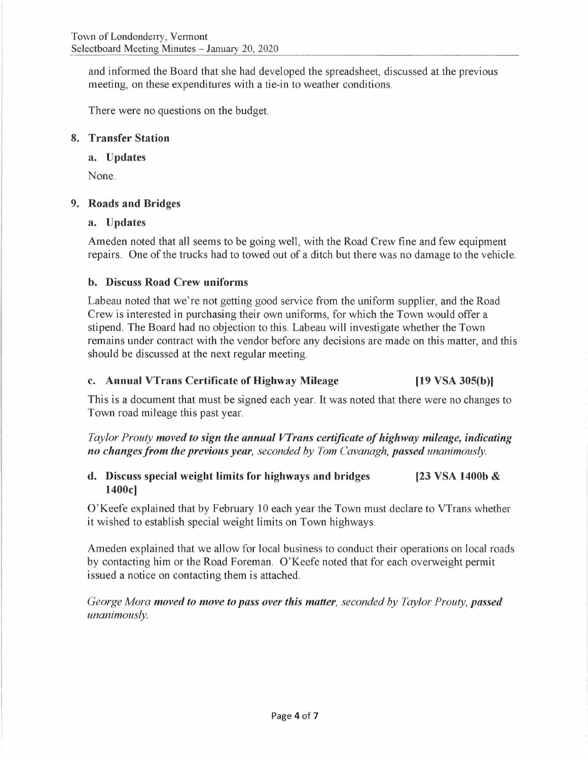and informed the Board that she had developed the spreadsheet, discussed at the previous meeting, on these expenditures with a tie-in to weather conditions.

There were no questions on the budget.

## **8. Transfer Station**

## **a. Updates**

None.

## **9. Roads and Bridges**

## **a. Updates**

Ameden noted that all seems to be going well, with the Road Crew fine and few equipment repairs. One of the trucks had to towed out of a ditch but there was no damage to the vehicle.

## **b. Discuss Road Crew uniforms**

Labeau noted that we're not getting good service from the uniform supplier, and the Road Crew is interested in purchasing their own uniforms, for which the Town would offer a stipend. The Board had no objection to this. Labeau will investigate whether the Town remains under contract with the vendor before any decisions are made on this matter, and this should be discussed at the next regular meeting.

## **c. Annual VTrans Certificate of Highway Mileage [19 VSA 305(b)]**

This is a document that must be signed each year. It was noted that there were no changes to Town road mileage this past year.

*Taylor Prouty moved to sign the annual VTrans certificate of highway mileage, indicating no changes from the previous year, seconded by Tom Cavanagh, passed unanimously.* 

#### **d. Discuss special weight limits for highways and bridges 1400c] [23 VSA 1400b** &

O'Keefe explained that by February 10 each year the Town must declare to VTrans whether it wished to establish special weight limits on Town highways.

Ameden explained that we allow for local business to conduct their operations on local roads by contacting him or the Road Foreman. O'Keefe noted that for each overweight permit issued a notice on contacting them is attached.

*George Mora moved to move to pass over this matter, seconded by Taylor Prouty, passed unanimously.*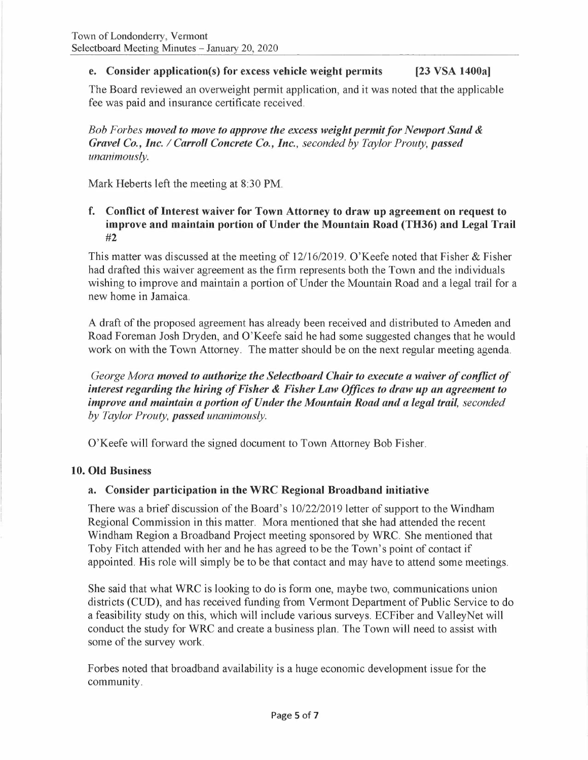## **e. Consider application(s) for excess vehicle weight permits [23 VSA 1400a]**

The Board reviewed an overweight permit application, and it was noted that the applicable fee was paid and insurance certificate received.

*Bob Forbes moved to move to approve the excess weight permit/or Newport Sand* & *Gravel Co., Inc. I Carroll Concrete Co., Inc., seconded by Taylor Prouty, passed unanimously.* 

Mark Heberts left the meeting at 8:30 **PM.** 

#### **f. Conflict of Interest waiver for Town Attorney to draw up agreement on request to improve and maintain portion of Under the Mountain Road (TH36) and Legal Trail**  #2

This matter was discussed at the meeting of 12/16/2019. O'Keefe noted that Fisher & Fisher had drafted this waiver agreement as the firm represents both the Town and the individuals wishing to improve and maintain a portion of Under the Mountain Road and a legal trail for a new home in Jamaica.

A draft of the proposed agreement has already been received and distributed to Am eden and Road Foreman Josh Dryden, and O'Keefe said he had some suggested changes that he would work on with the Town Attorney. The matter should be on the next regular meeting agenda.

*George Mora moved to authorize the Selectboard Chair to execute a waiver of conflict of interest regarding the hiring of Fisher* & *Fisher Law Offices to draw up an agreement to improve and maintain a portion of Under the Mountain Road and a legal trail, seconded by Taylor Prouty, passed unanimously.* 

O'Keefe will forward the signed document to Town Attorney Bob Fisher.

## **10. Old Business**

## **a. Consider participation in the WRC Regional Broadband initiative**

There was a brief discussion of the Board's 10/22/2019 letter of support to the Windham Regional Commission in this matter. Mora mentioned that she had attended the recent Windham Region a Broadband Project meeting sponsored by WRC. She mentioned that Toby Fitch attended with her and he has agreed to be the Town's point of contact if appointed. His role will simply be to be that contact and may have to attend some meetings.

She said that what WRC is looking to do is form one, maybe two, communications union districts (CUD), and has received funding from Vermont Department of Public Service to do a feasibility study on this, which will include various surveys. ECFiber and Valley Net will conduct the study for WRC and create a business plan. The Town will need to assist with some of the survey work.

Forbes noted that broadband availability is a huge economic development issue for the community.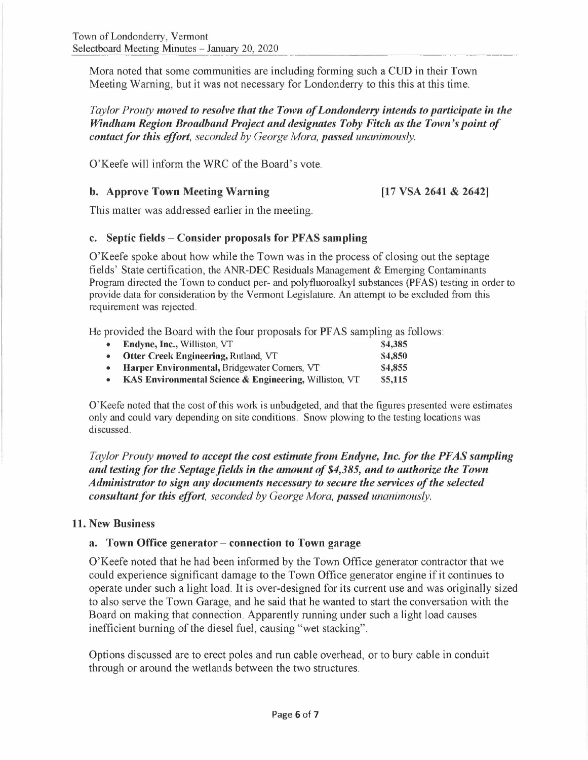Mora noted that some communities are including forming such a CUD in their Town Meeting Warning, but it was not necessary for Londonderry to this this at this time.

*Taylor Prouty moved to resolve that the Town of Londonderry intends to participate in the Windham Region Broadband Project and designates Toby Fitch as the Town's point of contact for this effort, seconded by George Mora, passed unanimously.* 

O'Keefe will inform the WRC of the Board's vote.

#### **b. Approve Town Meeting Warning**

**[17 VSA 2641** & **2642]** 

This matter was addressed earlier in the meeting.

#### **c. Septic fields - Consider proposals for PFAS sampling**

O'Keefe spoke about how while the Town was in the process of closing out the septage fields' State certification, the ANR-DEC Residuals Management & Emerging Contaminants Program directed the Town to conduct per- and polyfluoroalkyl substances (PFAS) testing in order to provide data for consideration by the Vermont Legislature. An attempt to be excluded from this requirement was rejected.

He provided the Board with the four proposals for PF AS sampling as follows:

| • Endyne, Inc., Williston, VT                            | \$4,385 |
|----------------------------------------------------------|---------|
| • Otter Creek Engineering, Rutland, VT                   | \$4,850 |
| • Harper Environmental, Bridgewater Corners, VT          | \$4,855 |
| • KAS Environmental Science & Engineering, Williston, VT | \$5,115 |
|                                                          |         |

O'Keefe noted that the cost of this work is unbudgeted, and that the figures presented were estimates only and could vary depending on site conditions. Snow plowing to the testing locations was discussed.

*Taylor Prouty moved to accept the cost estimate from Endyne, Inc. for the PF AS sampling and testing for the Septage fields in the amount of \$4,385, and to authorize the Town Administrator to sign any documents necessary to secure the services of the selected consultant for this effort, seconded by George Mora, passed unanimously.* 

## **11. New Business**

## **a. Town Office generator - connection to Town garage**

O'Keefe noted that he had been informed by the Town Office generator contractor that we could experience significant damage to the Town Office generator engine if it continues to operate under such a light load. It is over-designed for its current use and was originally sized to also serve the Town Garage, and he said that he wanted to start the conversation with the Board on making that connection. Apparently running under such a light load causes inefficient burning of the diesel fuel, causing "wet stacking".

Options discussed are to erect poles and run cable overhead, or to bury cable in conduit through or around the wetlands between the two structures.